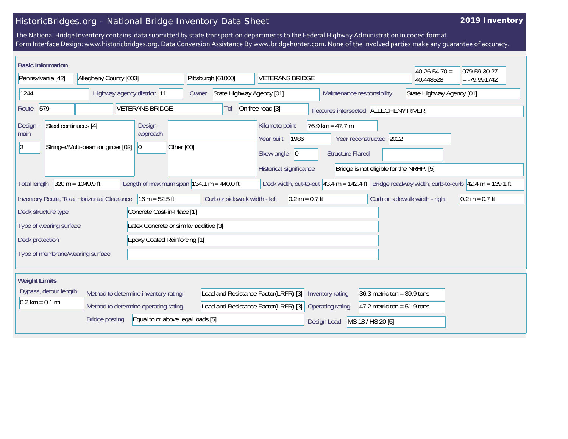## HistoricBridges.org - National Bridge Inventory Data Sheet

## **2019 Inventory**

The National Bridge Inventory contains data submitted by state transportion departments to the Federal Highway Administration in coded format. Form Interface Design: www.historicbridges.org. Data Conversion Assistance By www.bridgehunter.com. None of the involved parties make any guarantee of accuracy.

|                                                                                                                                                                                                                                   | <b>Basic Information</b> |                             |                                     |                                                                              |                                                                                                                                                                                                                          |                                      |                            | $40-26-54.70=$            | 079-59-30.27   |
|-----------------------------------------------------------------------------------------------------------------------------------------------------------------------------------------------------------------------------------|--------------------------|-----------------------------|-------------------------------------|------------------------------------------------------------------------------|--------------------------------------------------------------------------------------------------------------------------------------------------------------------------------------------------------------------------|--------------------------------------|----------------------------|---------------------------|----------------|
| Pennsylvania [42]                                                                                                                                                                                                                 |                          | Allegheny County [003]      |                                     | Pittsburgh [61000]                                                           | <b>VETERANS BRIDGE</b>                                                                                                                                                                                                   |                                      |                            | 40.448528                 | $= -79.991742$ |
| 1244                                                                                                                                                                                                                              |                          | Highway agency district: 11 |                                     | State Highway Agency [01]<br>Owner                                           |                                                                                                                                                                                                                          |                                      | Maintenance responsibility | State Highway Agency [01] |                |
| 579<br><b>VETERANS BRIDGE</b><br>Route                                                                                                                                                                                            |                          |                             | Toll                                | On free road [3]                                                             |                                                                                                                                                                                                                          | Features intersected ALLEGHENY RIVER |                            |                           |                |
| Steel continuous [4]<br>Design -<br>main<br>$\vert 3 \vert$<br>Stringer/Multi-beam or girder [02]                                                                                                                                 |                          |                             | Design -<br>approach<br>$ 0\rangle$ | Other [00]                                                                   | Kilometerpoint<br>$76.9$ km = 47.7 mi<br>1986<br>Year built<br>Year reconstructed 2012<br>Skew angle<br><b>Structure Flared</b><br>$\overline{0}$<br>Historical significance<br>Bridge is not eligible for the NRHP. [5] |                                      |                            |                           |                |
| $320 m = 1049.9 ft$<br>Length of maximum span $ 134.1 \text{ m} = 440.0 \text{ ft} $<br>Deck width, out-to-out 43.4 m = 142.4 ft   Bridge roadway width, curb-to-curb $ 42.4 \text{ m} = 139.1 \text{ ft}$<br><b>Total length</b> |                          |                             |                                     |                                                                              |                                                                                                                                                                                                                          |                                      |                            |                           |                |
| Curb or sidewalk width - left<br>Inventory Route, Total Horizontal Clearance<br>$16 m = 52.5 ft$<br>$0.2 m = 0.7 ft$<br>Curb or sidewalk width - right<br>$0.2 m = 0.7 ft$<br>Concrete Cast-in-Place [1]<br>Deck structure type   |                          |                             |                                     |                                                                              |                                                                                                                                                                                                                          |                                      |                            |                           |                |
| Latex Concrete or similar additive [3]<br>Type of wearing surface                                                                                                                                                                 |                          |                             |                                     |                                                                              |                                                                                                                                                                                                                          |                                      |                            |                           |                |
| <b>Epoxy Coated Reinforcing [1]</b><br>Deck protection                                                                                                                                                                            |                          |                             |                                     |                                                                              |                                                                                                                                                                                                                          |                                      |                            |                           |                |
| Type of membrane/wearing surface                                                                                                                                                                                                  |                          |                             |                                     |                                                                              |                                                                                                                                                                                                                          |                                      |                            |                           |                |
| <b>Weight Limits</b>                                                                                                                                                                                                              |                          |                             |                                     |                                                                              |                                                                                                                                                                                                                          |                                      |                            |                           |                |
| Bypass, detour length<br>Method to determine inventory rating<br>$0.2 \text{ km} = 0.1 \text{ mi}$<br>Method to determine operating rating<br>Equal to or above legal loads [5]<br><b>Bridge posting</b>                          |                          |                             |                                     | Load and Resistance Factor(LRFR) [3]<br>Load and Resistance Factor(LRFR) [3] | Inventory rating<br>36.3 metric ton = $39.9$ tons<br>Operating rating<br>47.2 metric ton = $51.9$ tons                                                                                                                   |                                      |                            |                           |                |
|                                                                                                                                                                                                                                   |                          |                             |                                     |                                                                              | Design Load                                                                                                                                                                                                              | MS 18 / HS 20 [5]                    |                            |                           |                |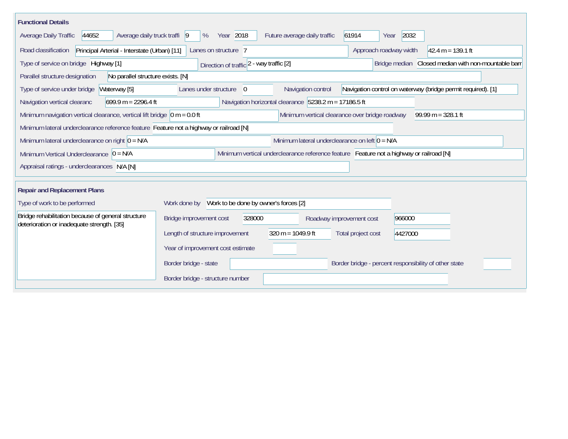| <b>Functional Details</b>                                                                             |                                                    |                                                       |                          |                                                                                         |                                                              |  |  |
|-------------------------------------------------------------------------------------------------------|----------------------------------------------------|-------------------------------------------------------|--------------------------|-----------------------------------------------------------------------------------------|--------------------------------------------------------------|--|--|
| 44652<br>Average daily truck traffi 9<br>Average Daily Traffic                                        | Year 2018<br>%                                     | Future average daily traffic                          |                          | 2032<br>61914<br>Year                                                                   |                                                              |  |  |
| Principal Arterial - Interstate (Urban) [11]<br>Road classification                                   | Lanes on structure 7                               | Approach roadway width                                |                          |                                                                                         | $42.4 m = 139.1 ft$                                          |  |  |
| Type of service on bridge Highway [1]                                                                 | Direction of traffic 2 - way traffic [2]           |                                                       |                          |                                                                                         | Bridge median Closed median with non-mountable barr          |  |  |
| Parallel structure designation<br>No parallel structure exists. [N]                                   |                                                    |                                                       |                          |                                                                                         |                                                              |  |  |
| Type of service under bridge<br>Waterway [5]                                                          | Lanes under structure<br>$\Omega$                  |                                                       | Navigation control       |                                                                                         | Navigation control on waterway (bridge permit required). [1] |  |  |
| $699.9 m = 2296.4 ft$<br>Navigation vertical clearanc                                                 |                                                    | Navigation horizontal clearance 5238.2 m = 17186.5 ft |                          |                                                                                         |                                                              |  |  |
| Minimum navigation vertical clearance, vertical lift bridge $\vert$ 0 m = 0.0 ft                      |                                                    |                                                       |                          | Minimum vertical clearance over bridge roadway                                          | $99.99 m = 328.1 ft$                                         |  |  |
| Minimum lateral underclearance reference feature Feature not a highway or railroad [N]                |                                                    |                                                       |                          |                                                                                         |                                                              |  |  |
| Minimum lateral underclearance on left $0 = N/A$<br>Minimum lateral underclearance on right $0 = N/A$ |                                                    |                                                       |                          |                                                                                         |                                                              |  |  |
| Minimum Vertical Underclearance $\vert 0 = N/A \vert$                                                 |                                                    |                                                       |                          | Minimum vertical underclearance reference feature Feature not a highway or railroad [N] |                                                              |  |  |
| Appraisal ratings - underclearances N/A [N]                                                           |                                                    |                                                       |                          |                                                                                         |                                                              |  |  |
|                                                                                                       |                                                    |                                                       |                          |                                                                                         |                                                              |  |  |
| <b>Repair and Replacement Plans</b>                                                                   |                                                    |                                                       |                          |                                                                                         |                                                              |  |  |
| Type of work to be performed                                                                          | Work done by Work to be done by owner's forces [2] |                                                       |                          |                                                                                         |                                                              |  |  |
| Bridge rehabilitation because of general structure<br>deterioration or inadequate strength. [35]      | Bridge improvement cost                            | 328000                                                | Roadway improvement cost | 966000                                                                                  |                                                              |  |  |
|                                                                                                       | Length of structure improvement                    | $320 m = 1049.9 ft$                                   |                          | Total project cost<br>4427000                                                           |                                                              |  |  |
|                                                                                                       | Year of improvement cost estimate                  |                                                       |                          |                                                                                         |                                                              |  |  |
|                                                                                                       | Border bridge - state                              |                                                       |                          | Border bridge - percent responsibility of other state                                   |                                                              |  |  |
|                                                                                                       | Border bridge - structure number                   |                                                       |                          |                                                                                         |                                                              |  |  |